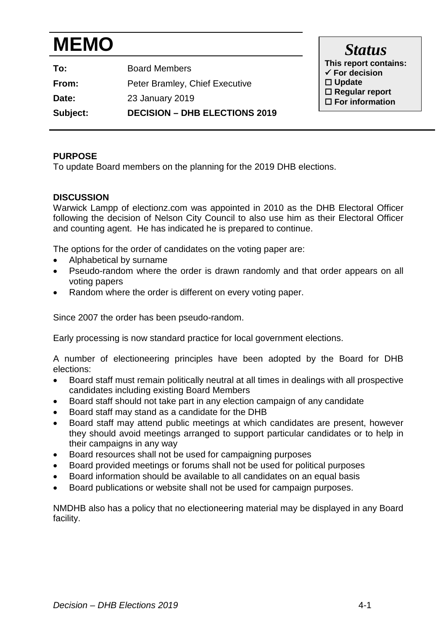# **MEMO**

| Subject: | <b>DECISION - DHB ELECTIONS 2019</b> |
|----------|--------------------------------------|
| Date:    | 23 January 2019                      |
| From:    | Peter Bramley, Chief Executive       |
| To:      | <b>Board Members</b>                 |

*Status* **This report contains: For decision Update Regular report For information**

## **PURPOSE**

To update Board members on the planning for the 2019 DHB elections.

### **DISCUSSION**

Warwick Lampp of electionz.com was appointed in 2010 as the DHB Electoral Officer following the decision of Nelson City Council to also use him as their Electoral Officer and counting agent. He has indicated he is prepared to continue.

The options for the order of candidates on the voting paper are:

- Alphabetical by surname
- Pseudo-random where the order is drawn randomly and that order appears on all voting papers
- Random where the order is different on every voting paper.

Since 2007 the order has been pseudo-random.

Early processing is now standard practice for local government elections.

A number of electioneering principles have been adopted by the Board for DHB elections:

- Board staff must remain politically neutral at all times in dealings with all prospective candidates including existing Board Members
- Board staff should not take part in any election campaign of any candidate
- Board staff may stand as a candidate for the DHB
- Board staff may attend public meetings at which candidates are present, however they should avoid meetings arranged to support particular candidates or to help in their campaigns in any way
- Board resources shall not be used for campaigning purposes
- Board provided meetings or forums shall not be used for political purposes
- Board information should be available to all candidates on an equal basis
- Board publications or website shall not be used for campaign purposes.

NMDHB also has a policy that no electioneering material may be displayed in any Board facility.